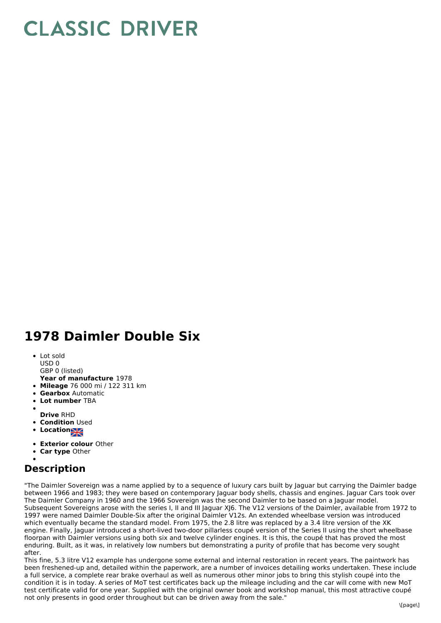## **CLASSIC DRIVER**

## **1978 Daimler Double Six**

- Lot sold
- USD 0
- GBP 0 (listed)
- **Year of manufacture** 1978
- **Mileage** 76 000 mi / 122 311 km
- **Gearbox** Automatic
- **Lot number** TBA
- **Drive** RHD
- **Condition Used**
- **Locations**
- 
- **Exterior colour** Other
- **Car type** Other

## **Description**

"The Daimler Sovereign was a name applied by to a sequence of luxury cars built by Jaguar but carrying the Daimler badge between 1966 and 1983; they were based on contemporary Jaguar body shells, chassis and engines. Jaguar Cars took over The Daimler Company in 1960 and the 1966 Sovereign was the second Daimler to be based on a Jaguar model. Subsequent Sovereigns arose with the series I, II and III Jaguar XJ6. The V12 versions of the Daimler, available from 1972 to 1997 were named Daimler Double-Six after the original Daimler V12s. An extended wheelbase version was introduced which eventually became the standard model. From 1975, the 2.8 litre was replaced by a 3.4 litre version of the XK engine. Finally, Jaguar introduced a short-lived two-door pillarless coupé version of the Series II using the short wheelbase floorpan with Daimler versions using both six and twelve cylinder engines. It is this, the coupé that has proved the most enduring. Built, as it was, in relatively low numbers but demonstrating a purity of profile that has become very sought after.

This fine, 5.3 litre V12 example has undergone some external and internal restoration in recent years. The paintwork has been freshened-up and, detailed within the paperwork, are a number of invoices detailing works undertaken. These include a full service, a complete rear brake overhaul as well as numerous other minor jobs to bring this stylish coupé into the condition it is in today. A series of MoT test certificates back up the mileage including and the car will come with new MoT test certificate valid for one year. Supplied with the original owner book and workshop manual, this most attractive coupé not only presents in good order throughout but can be driven away from the sale."